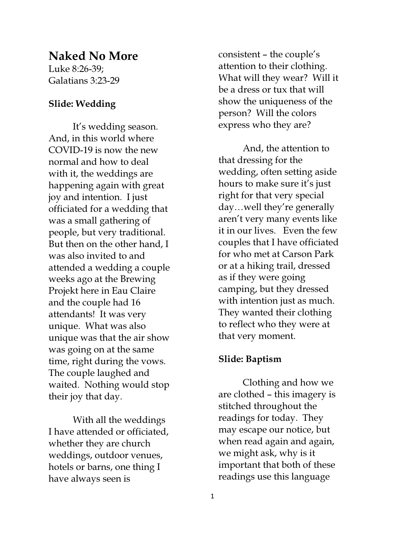## Naked No More

Luke 8:26-39; Galatians 3:23-29

## Slide: Wedding

It's wedding season. And, in this world where COVID-19 is now the new normal and how to deal with it, the weddings are happening again with great joy and intention. I just officiated for a wedding that was a small gathering of people, but very traditional. But then on the other hand, I was also invited to and attended a wedding a couple weeks ago at the Brewing Projekt here in Eau Claire and the couple had 16 attendants! It was very unique. What was also unique was that the air show was going on at the same time, right during the vows. The couple laughed and waited. Nothing would stop their joy that day.

With all the weddings I have attended or officiated, whether they are church weddings, outdoor venues, hotels or barns, one thing I have always seen is

consistent – the couple's attention to their clothing. What will they wear? Will it be a dress or tux that will show the uniqueness of the person? Will the colors express who they are?

And, the attention to that dressing for the wedding, often setting aside hours to make sure it's just right for that very special day…well they're generally aren't very many events like it in our lives. Even the few couples that I have officiated for who met at Carson Park or at a hiking trail, dressed as if they were going camping, but they dressed with intention just as much. They wanted their clothing to reflect who they were at that very moment.

## Slide: Baptism

Clothing and how we are clothed – this imagery is stitched throughout the readings for today. They may escape our notice, but when read again and again, we might ask, why is it important that both of these readings use this language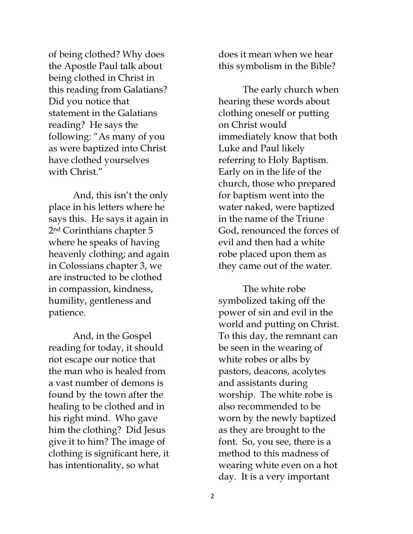of being clothed? Why does the Apostle Paul talk about being clothed in Christ in this reading from Galatians? Did you notice that statement in the Galatians reading? He says the following: "As many of you as were baptized into Christ have clothed yourselves with Christ."

And, this isn't the only place in his letters where he says this. He says it again in 2nd Corinthians chapter 5 where he speaks of having heavenly clothing; and again in Colossians chapter 3, we are instructed to be clothed in compassion, kindness, humility, gentleness and patience.

And, in the Gospel reading for today, it should not escape our notice that the man who is healed from a vast number of demons is found by the town after the healing to be clothed and in his right mind. Who gave him the clothing? Did Jesus give it to him? The image of clothing is significant here, it has intentionality, so what

does it mean when we hear this symbolism in the Bible?

The early church when hearing these words about clothing oneself or putting on Christ would immediately know that both Luke and Paul likely referring to Holy Baptism. Early on in the life of the church, those who prepared for baptism went into the water naked, were baptized in the name of the Triune God, renounced the forces of evil and then had a white robe placed upon them as they came out of the water.

The white robe symbolized taking off the power of sin and evil in the world and putting on Christ. To this day, the remnant can be seen in the wearing of white robes or albs by pastors, deacons, acolytes and assistants during worship. The white robe is also recommended to be worn by the newly baptized as they are brought to the font. So, you see, there is a method to this madness of wearing white even on a hot day. It is a very important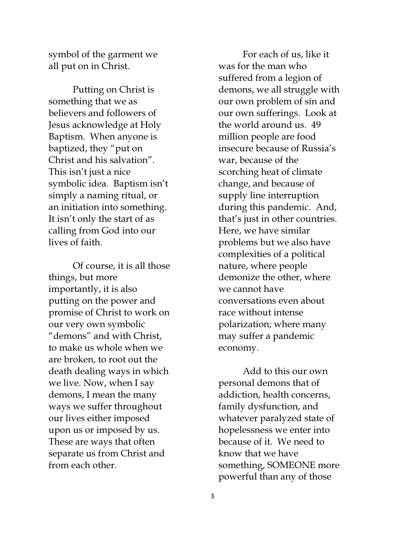symbol of the garment we all put on in Christ.

Putting on Christ is something that we as believers and followers of Jesus acknowledge at Holy Baptism. When anyone is baptized, they "put on Christ and his salvation". This isn't just a nice symbolic idea. Baptism isn't simply a naming ritual, or an initiation into something. It isn't only the start of as calling from God into our lives of faith.

Of course, it is all those things, but more importantly, it is also putting on the power and promise of Christ to work on our very own symbolic "demons" and with Christ, to make us whole when we are broken, to root out the death dealing ways in which we live. Now, when I say demons, I mean the many ways we suffer throughout our lives either imposed upon us or imposed by us. These are ways that often separate us from Christ and from each other.

For each of us, like it was for the man who suffered from a legion of demons, we all struggle with our own problem of sin and our own sufferings. Look at the world around us. 49 million people are food insecure because of Russia's war, because of the scorching heat of climate change, and because of supply line interruption during this pandemic. And, that's just in other countries. Here, we have similar problems but we also have complexities of a political nature, where people demonize the other, where we cannot have conversations even about race without intense polarization; where many may suffer a pandemic economy.

Add to this our own personal demons that of addiction, health concerns, family dysfunction, and whatever paralyzed state of hopelessness we enter into because of it. We need to know that we have something, SOMEONE more powerful than any of those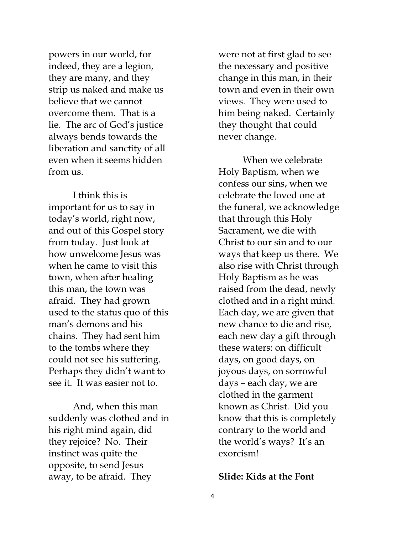powers in our world, for indeed, they are a legion, they are many, and they strip us naked and make us believe that we cannot overcome them. That is a lie. The arc of God's justice always bends towards the liberation and sanctity of all even when it seems hidden from us.

I think this is important for us to say in today's world, right now, and out of this Gospel story from today. Just look at how unwelcome Jesus was when he came to visit this town, when after healing this man, the town was afraid. They had grown used to the status quo of this man's demons and his chains. They had sent him to the tombs where they could not see his suffering. Perhaps they didn't want to see it. It was easier not to.

And, when this man suddenly was clothed and in his right mind again, did they rejoice? No. Their instinct was quite the opposite, to send Jesus away, to be afraid. They

were not at first glad to see the necessary and positive change in this man, in their town and even in their own views. They were used to him being naked. Certainly they thought that could never change.

When we celebrate Holy Baptism, when we confess our sins, when we celebrate the loved one at the funeral, we acknowledge that through this Holy Sacrament, we die with Christ to our sin and to our ways that keep us there. We also rise with Christ through Holy Baptism as he was raised from the dead, newly clothed and in a right mind. Each day, we are given that new chance to die and rise, each new day a gift through these waters: on difficult days, on good days, on joyous days, on sorrowful days – each day, we are clothed in the garment known as Christ. Did you know that this is completely contrary to the world and the world's ways? It's an exorcism!

## Slide: Kids at the Font